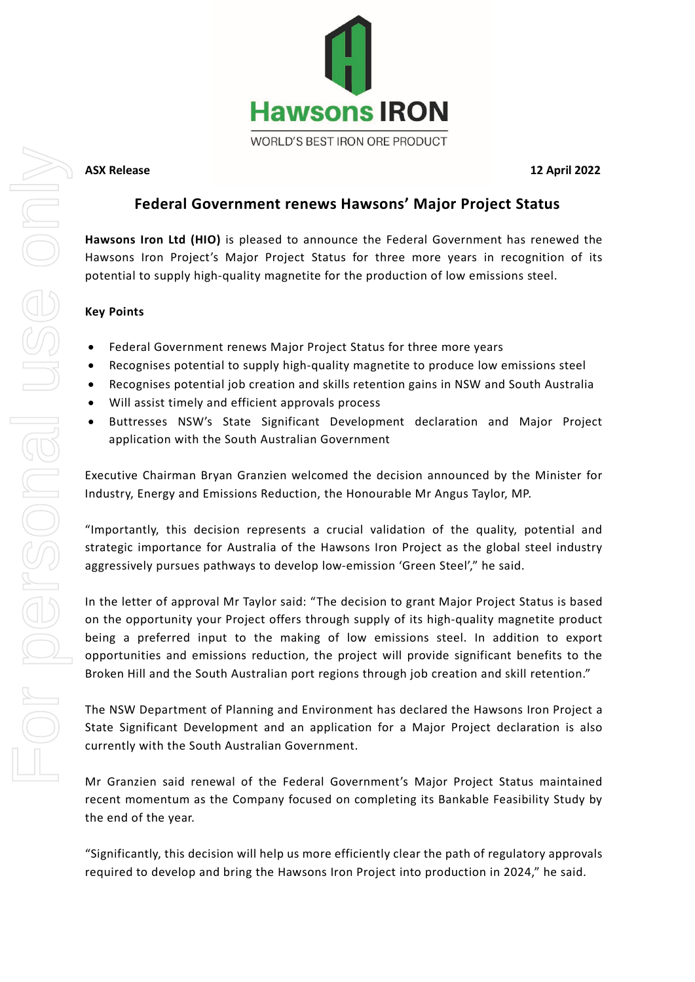

**ASX Release 12 April 2022**

# **Federal Government renews Hawsons' Major Project Status**

**Hawsons Iron Ltd (HIO)** is pleased to announce the Federal Government has renewed the Hawsons Iron Project's Major Project Status for three more years in recognition of its potential to supply high-quality magnetite for the production of low emissions steel.

## **Key Points**

- Federal Government renews Major Project Status for three more years
- Recognises potential to supply high-quality magnetite to produce low emissions steel
- Recognises potential job creation and skills retention gains in NSW and South Australia
- Will assist timely and efficient approvals process
- Buttresses NSW's State Significant Development declaration and Major Project application with the South Australian Government

Executive Chairman Bryan Granzien welcomed the decision announced by the Minister for Industry, Energy and Emissions Reduction, the Honourable Mr Angus Taylor, MP.

"Importantly, this decision represents a crucial validation of the quality, potential and strategic importance for Australia of the Hawsons Iron Project as the global steel industry aggressively pursues pathways to develop low-emission 'Green Steel'," he said.

In the letter of approval Mr Taylor said: "The decision to grant Major Project Status is based on the opportunity your Project offers through supply of its high-quality magnetite product being a preferred input to the making of low emissions steel. In addition to export opportunities and emissions reduction, the project will provide significant benefits to the Broken Hill and the South Australian port regions through job creation and skill retention."

The NSW Department of Planning and Environment has declared the Hawsons Iron Project a State Significant Development and an application for a Major Project declaration is also currently with the South Australian Government.

Mr Granzien said renewal of the Federal Government's Major Project Status maintained recent momentum as the Company focused on completing its Bankable Feasibility Study by the end of the year.

"Significantly, this decision will help us more efficiently clear the path of regulatory approvals required to develop and bring the Hawsons Iron Project into production in 2024," he said.